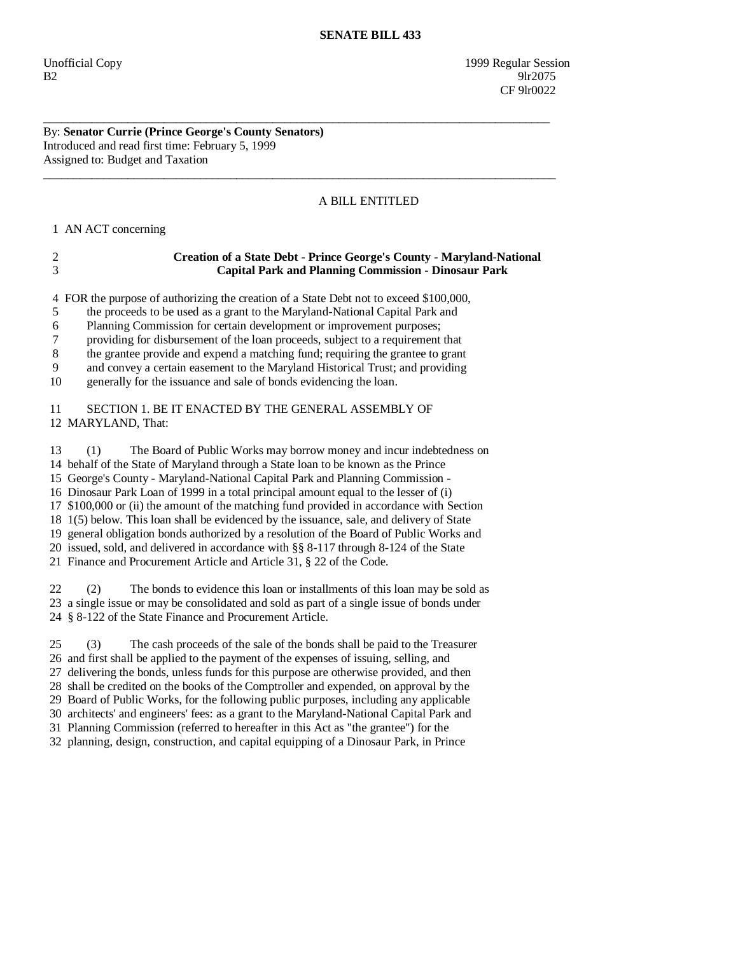Unofficial Copy 1999 Regular Session  $B2$  9lr2075 CF 9lr0022

## By: **Senator Currie (Prince George's County Senators)**  Introduced and read first time: February 5, 1999 Assigned to: Budget and Taxation

## A BILL ENTITLED

1 AN ACT concerning

| <b>Creation of a State Debt - Prince George's County - Maryland-National</b> |
|------------------------------------------------------------------------------|
| <b>Capital Park and Planning Commission - Dinosaur Park</b>                  |

\_\_\_\_\_\_\_\_\_\_\_\_\_\_\_\_\_\_\_\_\_\_\_\_\_\_\_\_\_\_\_\_\_\_\_\_\_\_\_\_\_\_\_\_\_\_\_\_\_\_\_\_\_\_\_\_\_\_\_\_\_\_\_\_\_\_\_\_\_\_\_\_\_\_\_\_\_\_\_\_\_\_\_\_

\_\_\_\_\_\_\_\_\_\_\_\_\_\_\_\_\_\_\_\_\_\_\_\_\_\_\_\_\_\_\_\_\_\_\_\_\_\_\_\_\_\_\_\_\_\_\_\_\_\_\_\_\_\_\_\_\_\_\_\_\_\_\_\_\_\_\_\_\_\_\_\_\_\_\_\_\_\_\_\_\_\_\_\_\_

4 FOR the purpose of authorizing the creation of a State Debt not to exceed \$100,000,

5 the proceeds to be used as a grant to the Maryland-National Capital Park and

6 Planning Commission for certain development or improvement purposes;

7 providing for disbursement of the loan proceeds, subject to a requirement that

8 the grantee provide and expend a matching fund; requiring the grantee to grant

9 and convey a certain easement to the Maryland Historical Trust; and providing

10 generally for the issuance and sale of bonds evidencing the loan.

 11 SECTION 1. BE IT ENACTED BY THE GENERAL ASSEMBLY OF 12 MARYLAND, That:

 13 (1) The Board of Public Works may borrow money and incur indebtedness on 14 behalf of the State of Maryland through a State loan to be known as the Prince 15 George's County - Maryland-National Capital Park and Planning Commission - 16 Dinosaur Park Loan of 1999 in a total principal amount equal to the lesser of (i) 17 \$100,000 or (ii) the amount of the matching fund provided in accordance with Section 18 1(5) below. This loan shall be evidenced by the issuance, sale, and delivery of State 19 general obligation bonds authorized by a resolution of the Board of Public Works and 20 issued, sold, and delivered in accordance with §§ 8-117 through 8-124 of the State 21 Finance and Procurement Article and Article 31, § 22 of the Code.

 22 (2) The bonds to evidence this loan or installments of this loan may be sold as 23 a single issue or may be consolidated and sold as part of a single issue of bonds under 24 § 8-122 of the State Finance and Procurement Article.

 25 (3) The cash proceeds of the sale of the bonds shall be paid to the Treasurer 26 and first shall be applied to the payment of the expenses of issuing, selling, and 27 delivering the bonds, unless funds for this purpose are otherwise provided, and then 28 shall be credited on the books of the Comptroller and expended, on approval by the 29 Board of Public Works, for the following public purposes, including any applicable 30 architects' and engineers' fees: as a grant to the Maryland-National Capital Park and 31 Planning Commission (referred to hereafter in this Act as "the grantee") for the 32 planning, design, construction, and capital equipping of a Dinosaur Park, in Prince